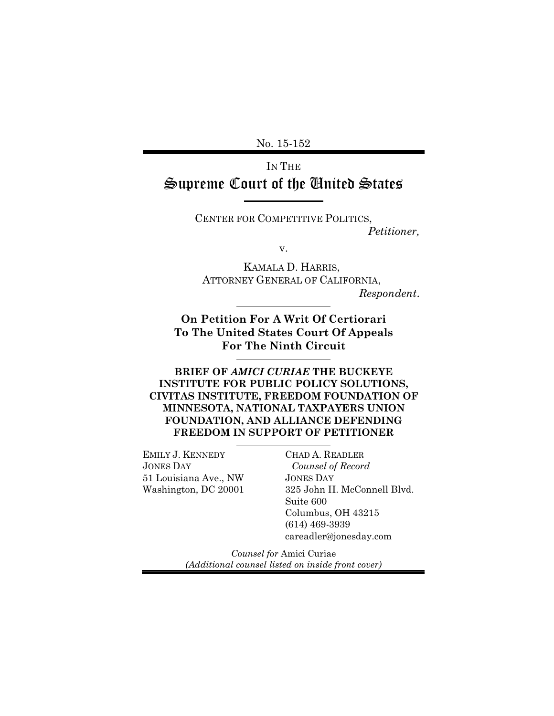No. 15-152

### IN THE Supreme Court of the United States

CENTER FOR COMPETITIVE POLITICS, *Petitioner,*

v.

KAMALA D. HARRIS, ATTORNEY GENERAL OF CALIFORNIA, *Respondent*.

**On Petition For A Writ Of Certiorari To The United States Court Of Appeals For The Ninth Circuit**

**BRIEF OF AMICI CURIAE THE BUCKEYE INSTITUTE FOR PUBLIC POLICY SOLUTIONS, CIVITAS INSTITUTE, FREEDOM FOUNDATION OF MINNESOTA, NATIONAL TAXPAYERS UNION FOUNDATION, AND ALLIANCE DEFENDING FREEDOM IN SUPPORT OF PETITIONER**

EMILY J. KENNEDY JONES DAY 51 Louisiana Ave., NW Washington, DC 20001

CHAD A. READLER *Counsel of Record* JONES DAY 325 John H. McConnell Blvd. Suite 600 Columbus, OH 43215 (614) 469-3939 careadler@jonesday.com

*Counsel for* Amici Curiae *(Additional counsel listed on inside front cover)*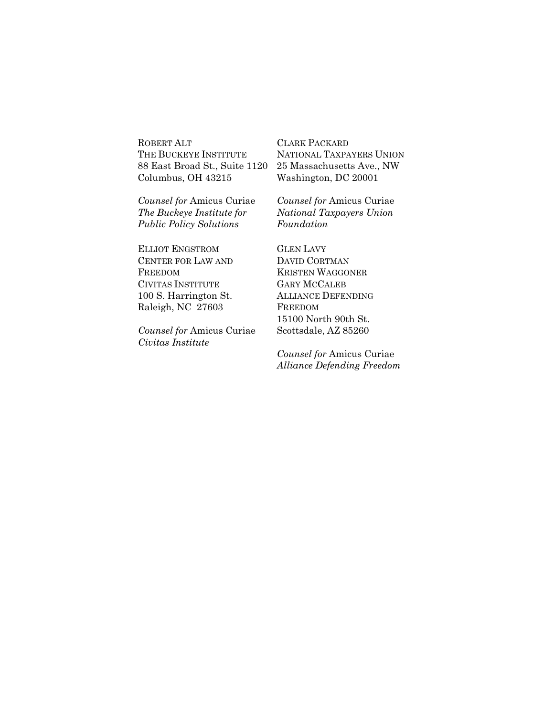ROBERT ALT THE BUCKEYE INSTITUTE 88 East Broad St., Suite 1120 Columbus, OH 43215

*Counsel for* Amicus Curiae *The Buckeye Institute for Public Policy Solutions*

ELLIOT ENGSTROM CENTER FOR LAW AND FREEDOM CIVITAS INSTITUTE 100 S. Harrington St. Raleigh, NC 27603

*Counsel for* Amicus Curiae *Civitas Institute*

CLARK PACKARD NATIONAL TAXPAYERS UNION 25 Massachusetts Ave., NW Washington, DC 20001

*Counsel for* Amicus Curiae *National Taxpayers Union Foundation*

GLEN LAVY DAVID CORTMAN KRISTEN WAGGONER GARY MCCALEB ALLIANCE DEFENDING FREEDOM 15100 North 90th St. Scottsdale, AZ 85260

*Counsel for* Amicus Curiae *Alliance Defending Freedom*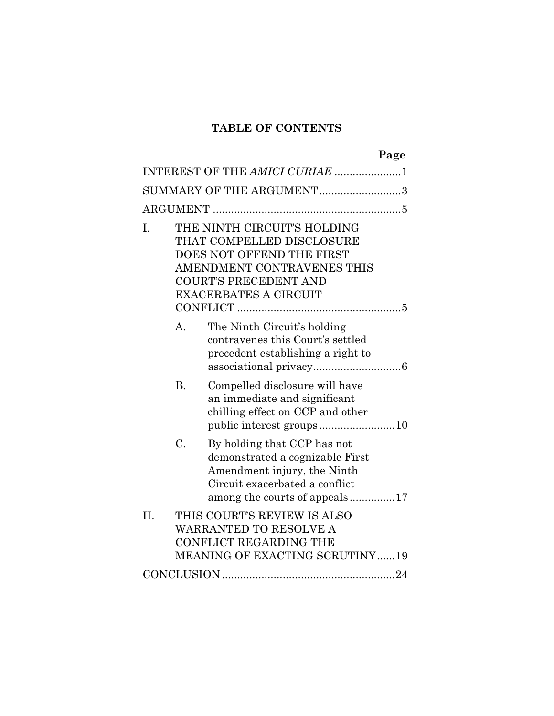### **TABLE OF CONTENTS**

|                                |                                                                                                                                                                                     |                                                                                                                                                                  | Page |  |
|--------------------------------|-------------------------------------------------------------------------------------------------------------------------------------------------------------------------------------|------------------------------------------------------------------------------------------------------------------------------------------------------------------|------|--|
| INTEREST OF THE AMICI CURIAE 1 |                                                                                                                                                                                     |                                                                                                                                                                  |      |  |
| SUMMARY OF THE ARGUMENT3       |                                                                                                                                                                                     |                                                                                                                                                                  |      |  |
|                                |                                                                                                                                                                                     |                                                                                                                                                                  |      |  |
| Ι.                             | THE NINTH CIRCUIT'S HOLDING<br>THAT COMPELLED DISCLOSURE<br>DOES NOT OFFEND THE FIRST<br>AMENDMENT CONTRAVENES THIS<br><b>COURT'S PRECEDENT AND</b><br><b>EXACERBATES A CIRCUIT</b> |                                                                                                                                                                  |      |  |
|                                | A.                                                                                                                                                                                  | The Ninth Circuit's holding<br>contravenes this Court's settled<br>precedent establishing a right to                                                             |      |  |
|                                | <b>B.</b>                                                                                                                                                                           | Compelled disclosure will have<br>an immediate and significant<br>chilling effect on CCP and other                                                               |      |  |
|                                | C.                                                                                                                                                                                  | By holding that CCP has not<br>demonstrated a cognizable First<br>Amendment injury, the Ninth<br>Circuit exacerbated a conflict<br>among the courts of appeals17 |      |  |
| II.                            |                                                                                                                                                                                     | THIS COURT'S REVIEW IS ALSO<br><b>WARRANTED TO RESOLVE A</b><br>CONFLICT REGARDING THE<br><b>MEANING OF EXACTING SCRUTINY19</b>                                  |      |  |
|                                |                                                                                                                                                                                     |                                                                                                                                                                  |      |  |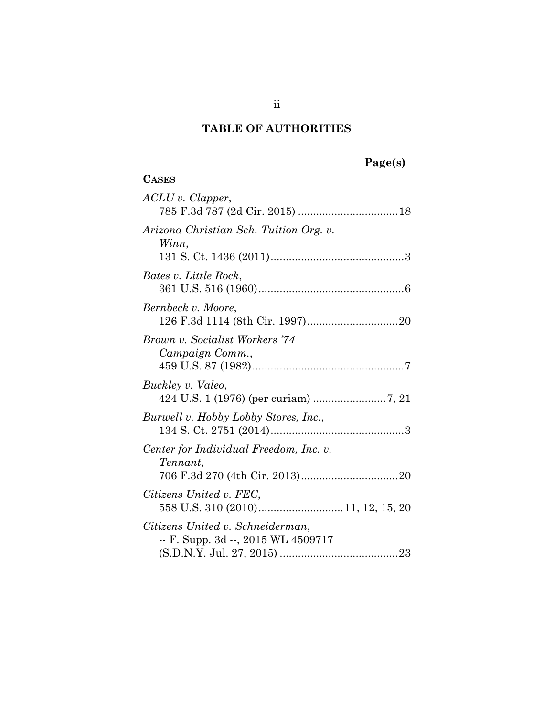| lēet<br>sı<br>н |
|-----------------|
|-----------------|

| <b>CASES</b>                                                           |
|------------------------------------------------------------------------|
| $ACLU$ v. Clapper,                                                     |
| Arizona Christian Sch. Tuition Org. v.<br>Winn,                        |
| Bates v. Little Rock,                                                  |
| Bernbeck v. Moore,                                                     |
| Brown v. Socialist Workers '74<br>Campaign Comm.,                      |
| Buckley v. Valeo,                                                      |
| Burwell v. Hobby Lobby Stores, Inc.,                                   |
| Center for Individual Freedom, Inc. v.<br>Tennant,                     |
| Citizens United v. FEC,                                                |
| Citizens United v. Schneiderman,<br>-- F. Supp. 3d --, 2015 WL 4509717 |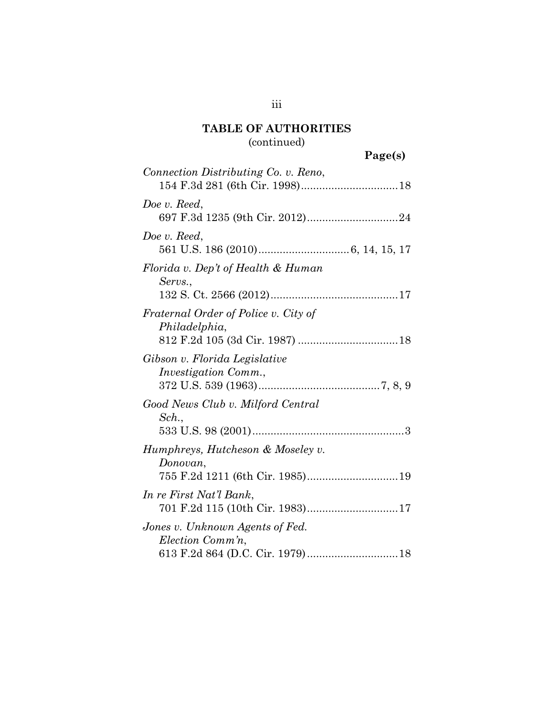# (continued)

# **Page(s)**

| Connection Distributing Co. v. Reno,                                              |
|-----------------------------------------------------------------------------------|
| Doe v. Reed,                                                                      |
| Doe v. Reed,                                                                      |
| Florida v. Dep't of Health & Human<br>Servs.,                                     |
| Fraternal Order of Police v. City of<br>Philadelphia,                             |
| Gibson v. Florida Legislative<br><i>Investigation Comm.,</i>                      |
| Good News Club v. Milford Central<br>Sch.,                                        |
| Humphreys, Hutcheson & Moseley v.<br>Donovan,<br>755 F.2d 1211 (6th Cir. 1985) 19 |
| In re First Nat'l Bank,<br>701 F.2d 115 (10th Cir. 1983)17                        |
| Jones v. Unknown Agents of Fed.<br>Election Comm'n,                               |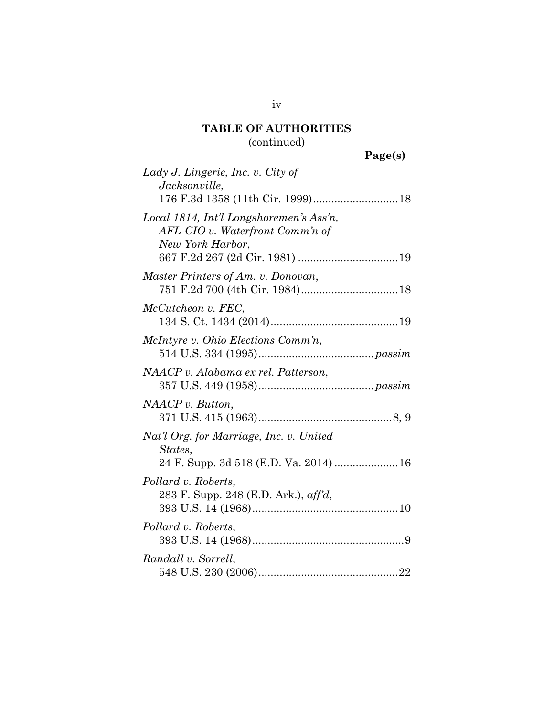# (continued)

| Lady J. Lingerie, Inc. v. City of<br>Jacksonville,                                             |  |
|------------------------------------------------------------------------------------------------|--|
|                                                                                                |  |
| Local 1814, Int'l Longshoremen's Ass'n,<br>AFL-CIO v. Waterfront Comm'n of<br>New York Harbor, |  |
| Master Printers of Am. v. Donovan,                                                             |  |
| McCutcheon v. FEC,                                                                             |  |
| McIntyre v. Ohio Elections Comm'n,                                                             |  |
| NAACP v. Alabama ex rel. Patterson,                                                            |  |
| $NAACP$ v. Button,                                                                             |  |
| Nat'l Org. for Marriage, Inc. v. United<br>States,<br>24 F. Supp. 3d 518 (E.D. Va. 2014)  16   |  |
| Pollard v. Roberts,<br>283 F. Supp. 248 (E.D. Ark.), aff'd,                                    |  |
| Pollard v. Roberts,                                                                            |  |
| Randall v. Sorrell,                                                                            |  |

iv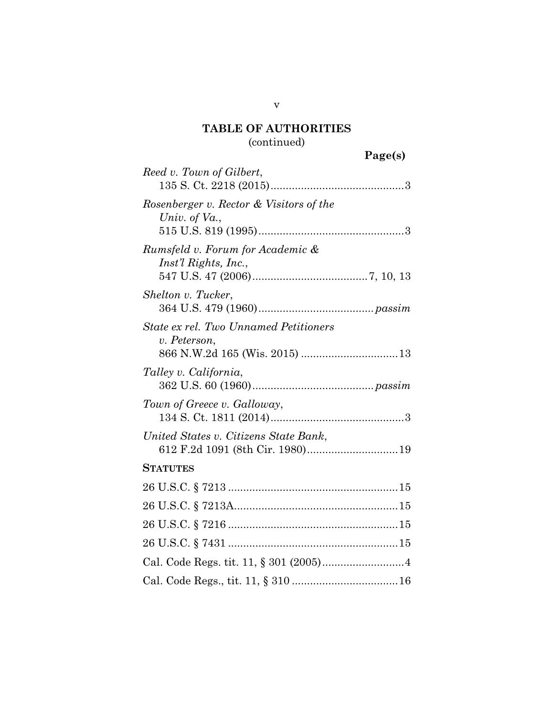# (continued)

|                                                          | Page(s) |
|----------------------------------------------------------|---------|
| Reed v. Town of Gilbert,                                 |         |
| Rosenberger v. Rector & Visitors of the<br>Univ. of Va., |         |
| Rumsfeld v. Forum for Academic &<br>Inst'l Rights, Inc., |         |
| Shelton v. Tucker,                                       |         |
| State ex rel. Two Unnamed Petitioners<br>v. Peterson,    |         |
| Talley v. California,                                    |         |
| Town of Greece v. Galloway,                              |         |
| United States v. Citizens State Bank,                    |         |
| <b>STATUTES</b>                                          |         |
|                                                          |         |
|                                                          |         |
|                                                          |         |
|                                                          |         |
|                                                          |         |
|                                                          |         |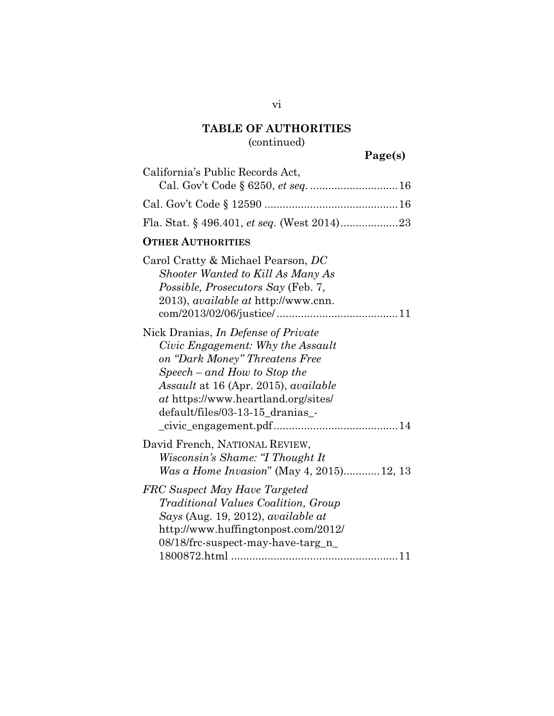# (continued)

# **Page(s)**

| California's Public Records Act,                                                                                                                                                                                                                                       |
|------------------------------------------------------------------------------------------------------------------------------------------------------------------------------------------------------------------------------------------------------------------------|
|                                                                                                                                                                                                                                                                        |
|                                                                                                                                                                                                                                                                        |
| Fla. Stat. § 496.401, et seq. (West 2014)23                                                                                                                                                                                                                            |
| <b>OTHER AUTHORITIES</b>                                                                                                                                                                                                                                               |
| Carol Cratty & Michael Pearson, DC<br>Shooter Wanted to Kill As Many As<br>Possible, Prosecutors Say (Feb. 7,<br>2013), <i>available at</i> http://www.cnn.                                                                                                            |
| Nick Dranias, <i>In Defense of Private</i><br>Civic Engagement: Why the Assault<br>on "Dark Money" Threatens Free<br>$Speech - and How to Stop the$<br>Assault at 16 (Apr. 2015), available<br>at https://www.heartland.org/sites/<br>default/files/03-13-15_dranias_- |
| David French, NATIONAL REVIEW,<br>Wisconsin's Shame: "I Thought It<br>Was a Home Invasion" (May 4, 2015)12, 13                                                                                                                                                         |
| FRC Suspect May Have Targeted<br>Traditional Values Coalition, Group<br>Says (Aug. 19, 2012), available at<br>http://www.huffingtonpost.com/2012/<br>08/18/frc-suspect-may-have-targ_n_                                                                                |

### vi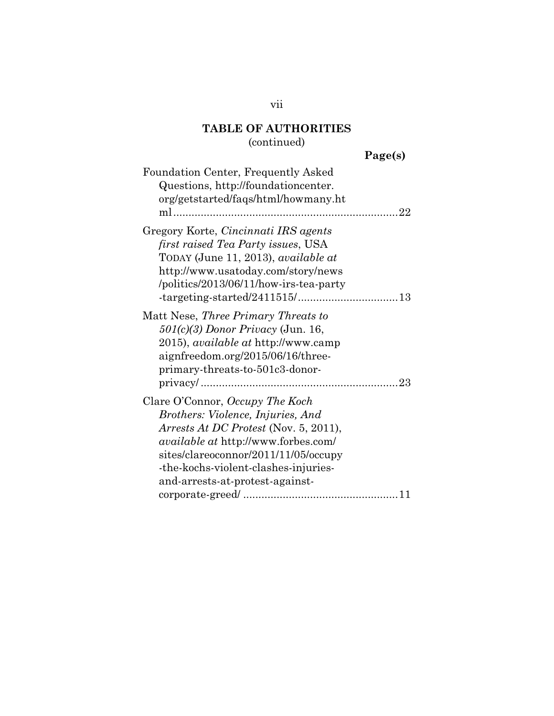# (continued)

| eel.<br>S I<br>. .<br>., |
|--------------------------|
|--------------------------|

| Foundation Center, Frequently Asked<br>Questions, http://foundationcenter.<br>org/getstarted/faqs/html/howmany.ht                                                                                                                                                                     |
|---------------------------------------------------------------------------------------------------------------------------------------------------------------------------------------------------------------------------------------------------------------------------------------|
| Gregory Korte, Cincinnati IRS agents<br>first raised Tea Party issues, USA<br>TODAY (June 11, 2013), <i>available at</i><br>http://www.usatoday.com/story/news<br>/politics/2013/06/11/how-irs-tea-party                                                                              |
| Matt Nese, Three Primary Threats to<br>$501(c)(3)$ Donor Privacy (Jun. 16,<br>2015), <i>available at</i> http://www.camp<br>aignfreedom.org/2015/06/16/three-<br>primary-threats-to-501c3-donor-                                                                                      |
| Clare O'Connor, Occupy The Koch<br>Brothers: Violence, Injuries, And<br><i>Arrests At DC Protest</i> (Nov. 5, 2011),<br><i>available at http://www.forbes.com/</i><br>sites/clareoconnor/2011/11/05/occupy<br>-the-kochs-violent-clashes-injuries-<br>and-arrests-at-protest-against- |

vii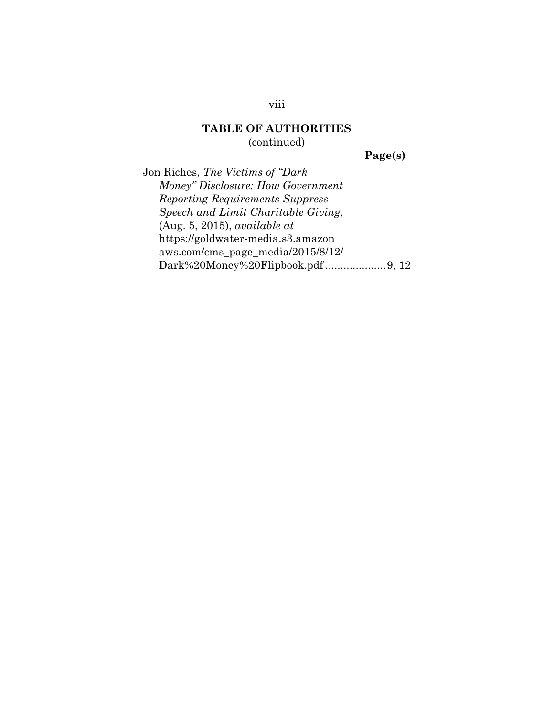(continued)

**Page(s)**

Jon Riches, *The Victims of "Dark Money" Disclosure: How Government Reporting Requirements Suppress Speech and Limit Charitable Giving*, (Aug. 5, 2015), *available at*  https://goldwater-media.s3.amazon aws.com/cms\_page\_media/2015/8/12/ Dark%20Money%20Flipbook.pdf ....................9, 12

viii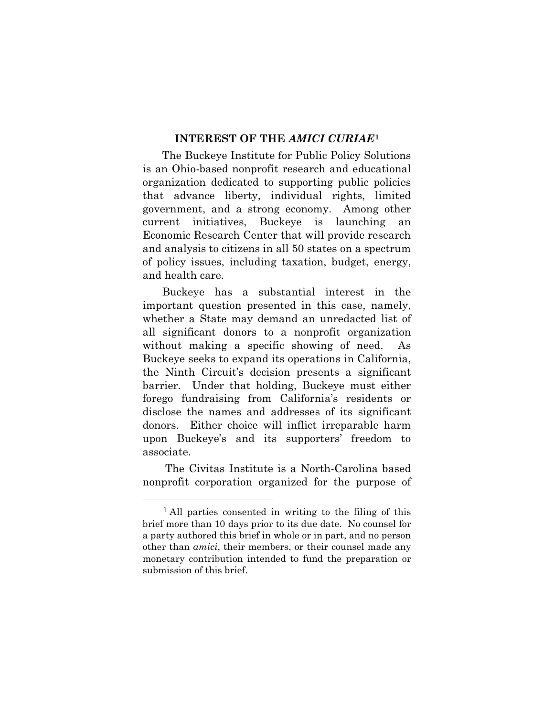### **INTEREST OF THE AMICI CURIAE<sup>1</sup>**

The Buckeye Institute for Public Policy Solutions is an Ohio-based nonprofit research and educational organization dedicated to supporting public policies that advance liberty, individual rights, limited government, and a strong economy. Among other current initiatives, Buckeye is launching an Economic Research Center that will provide research and analysis to citizens in all 50 states on a spectrum of policy issues, including taxation, budget, energy, and health care.

Buckeye has a substantial interest in the important question presented in this case, namely, whether a State may demand an unredacted list of all significant donors to a nonprofit organization without making a specific showing of need. As Buckeye seeks to expand its operations in California, the Ninth Circuit's decision presents a significant barrier. Under that holding, Buckeye must either forego fundraising from California's residents or disclose the names and addresses of its significant donors. Either choice will inflict irreparable harm upon Buckeye's and its supporters' freedom to associate.

The Civitas Institute is a North-Carolina based nonprofit corporation organized for the purpose of

 $\overline{a}$ 

<sup>1</sup> All parties consented in writing to the filing of this brief more than 10 days prior to its due date. No counsel for a party authored this brief in whole or in part, and no person other than *amici*, their members, or their counsel made any monetary contribution intended to fund the preparation or submission of this brief.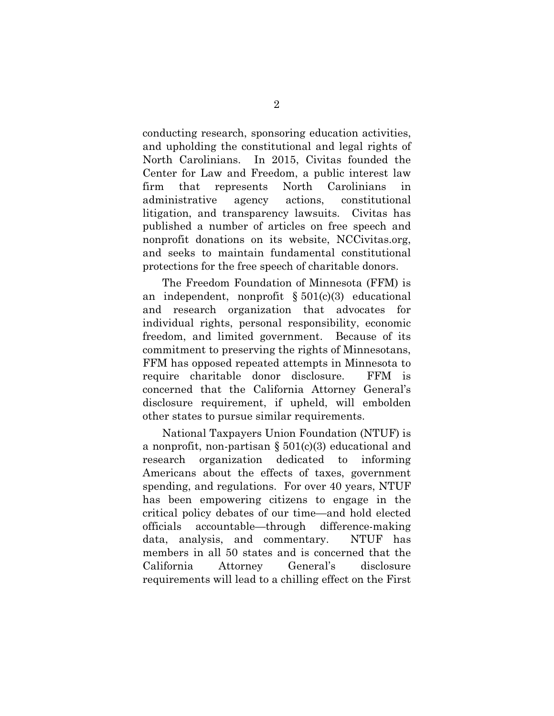conducting research, sponsoring education activities, and upholding the constitutional and legal rights of North Carolinians. In 2015, Civitas founded the Center for Law and Freedom, a public interest law firm that represents North Carolinians in administrative agency actions, constitutional litigation, and transparency lawsuits. Civitas has published a number of articles on free speech and nonprofit donations on its website, NCCivitas.org, and seeks to maintain fundamental constitutional protections for the free speech of charitable donors.

The Freedom Foundation of Minnesota (FFM) is an independent, nonprofit  $\S 501(c)(3)$  educational and research organization that advocates for individual rights, personal responsibility, economic freedom, and limited government. Because of its commitment to preserving the rights of Minnesotans, FFM has opposed repeated attempts in Minnesota to require charitable donor disclosure. FFM is concerned that the California Attorney General's disclosure requirement, if upheld, will embolden other states to pursue similar requirements.

National Taxpayers Union Foundation (NTUF) is a nonprofit, non-partisan  $\S 501(c)(3)$  educational and research organization dedicated to informing Americans about the effects of taxes, government spending, and regulations. For over 40 years, NTUF has been empowering citizens to engage in the critical policy debates of our time—and hold elected officials accountable—through difference-making data, analysis, and commentary. NTUF has members in all 50 states and is concerned that the California Attorney General's disclosure requirements will lead to a chilling effect on the First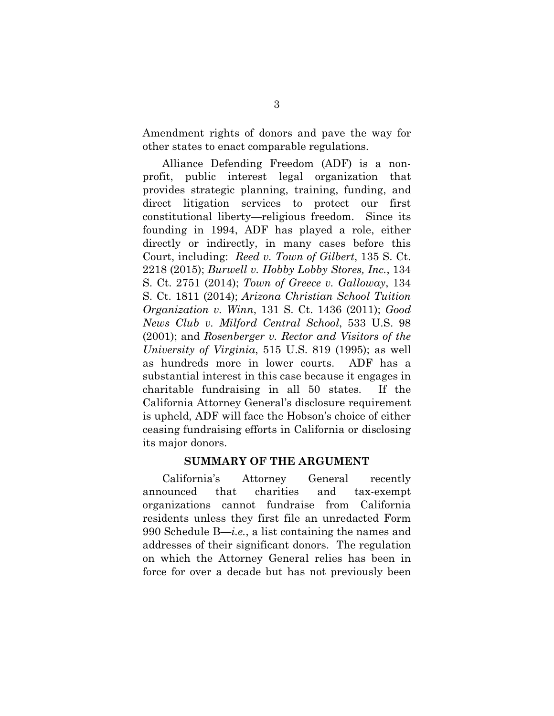Amendment rights of donors and pave the way for other states to enact comparable regulations.

Alliance Defending Freedom (ADF) is a nonprofit, public interest legal organization that provides strategic planning, training, funding, and direct litigation services to protect our first constitutional liberty—religious freedom. Since its founding in 1994, ADF has played a role, either directly or indirectly, in many cases before this Court, including: *Reed v. Town of Gilbert*, 135 S. Ct. 2218 (2015); *Burwell v. Hobby Lobby Stores, Inc.*, 134 S. Ct. 2751 (2014); *Town of Greece v. Galloway*, 134 S. Ct. 1811 (2014); *Arizona Christian School Tuition Organization v. Winn*, 131 S. Ct. 1436 (2011); *Good News Club v. Milford Central School*, 533 U.S. 98 (2001); and *Rosenberger v. Rector and Visitors of the University of Virginia*, 515 U.S. 819 (1995); as well as hundreds more in lower courts. ADF has a substantial interest in this case because it engages in charitable fundraising in all 50 states. If the California Attorney General's disclosure requirement is upheld, ADF will face the Hobson's choice of either ceasing fundraising efforts in California or disclosing its major donors.

### **SUMMARY OF THE ARGUMENT**

California's Attorney General recently announced that charities and tax-exempt organizations cannot fundraise from California residents unless they first file an unredacted Form 990 Schedule B—*i.e.*, a list containing the names and addresses of their significant donors. The regulation on which the Attorney General relies has been in force for over a decade but has not previously been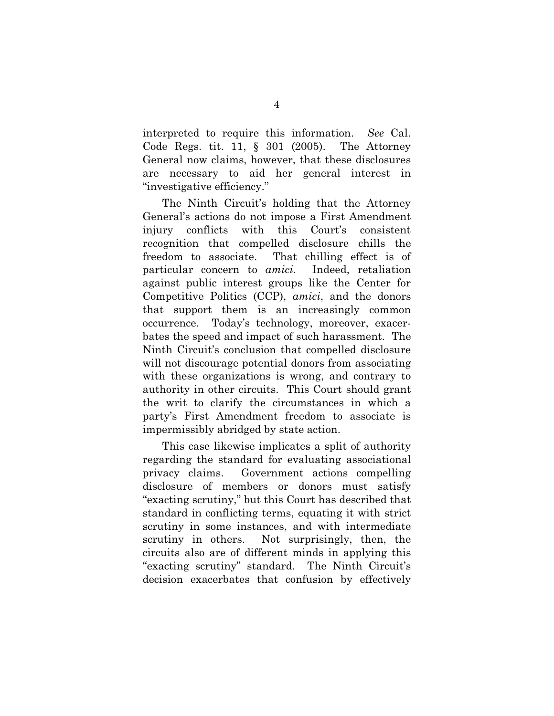interpreted to require this information. *See* Cal. Code Regs. tit. 11, § 301 (2005). The Attorney General now claims, however, that these disclosures are necessary to aid her general interest in "investigative efficiency."

The Ninth Circuit's holding that the Attorney General's actions do not impose a First Amendment injury conflicts with this Court's consistent recognition that compelled disclosure chills the freedom to associate. That chilling effect is of particular concern to *amici*. Indeed, retaliation against public interest groups like the Center for Competitive Politics (CCP), *amici*, and the donors that support them is an increasingly common occurrence. Today's technology, moreover, exacerbates the speed and impact of such harassment. The Ninth Circuit's conclusion that compelled disclosure will not discourage potential donors from associating with these organizations is wrong, and contrary to authority in other circuits. This Court should grant the writ to clarify the circumstances in which a party's First Amendment freedom to associate is impermissibly abridged by state action.

This case likewise implicates a split of authority regarding the standard for evaluating associational privacy claims. Government actions compelling disclosure of members or donors must satisfy "exacting scrutiny," but this Court has described that standard in conflicting terms, equating it with strict scrutiny in some instances, and with intermediate scrutiny in others. Not surprisingly, then, the circuits also are of different minds in applying this "exacting scrutiny" standard. The Ninth Circuit's decision exacerbates that confusion by effectively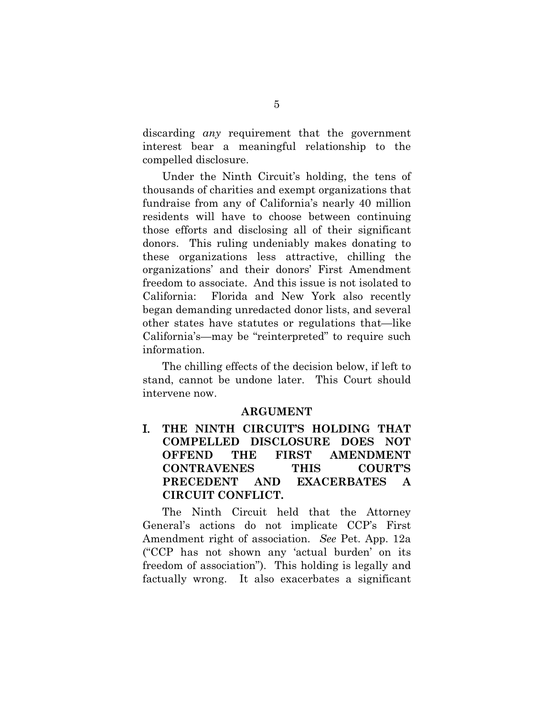discarding *any* requirement that the government interest bear a meaningful relationship to the compelled disclosure.

Under the Ninth Circuit's holding, the tens of thousands of charities and exempt organizations that fundraise from any of California's nearly 40 million residents will have to choose between continuing those efforts and disclosing all of their significant donors. This ruling undeniably makes donating to these organizations less attractive, chilling the organizations' and their donors' First Amendment freedom to associate. And this issue is not isolated to California: Florida and New York also recently began demanding unredacted donor lists, and several other states have statutes or regulations that—like California's—may be "reinterpreted" to require such information.

The chilling effects of the decision below, if left to stand, cannot be undone later. This Court should intervene now.

### **ARGUMENT**

I. **THE NINTH CIRCUIT'S HOLDING THAT COMPELLED DISCLOSURE DOES NOT OFFEND THE FIRST AMENDMENT CONTRAVENES THIS COURT'S PRECEDENT AND EXACERBATES A CIRCUIT CONFLICT.** 

The Ninth Circuit held that the Attorney General's actions do not implicate CCP's First Amendment right of association. *See* Pet. App. 12a ("CCP has not shown any 'actual burden' on its freedom of association"). This holding is legally and factually wrong. It also exacerbates a significant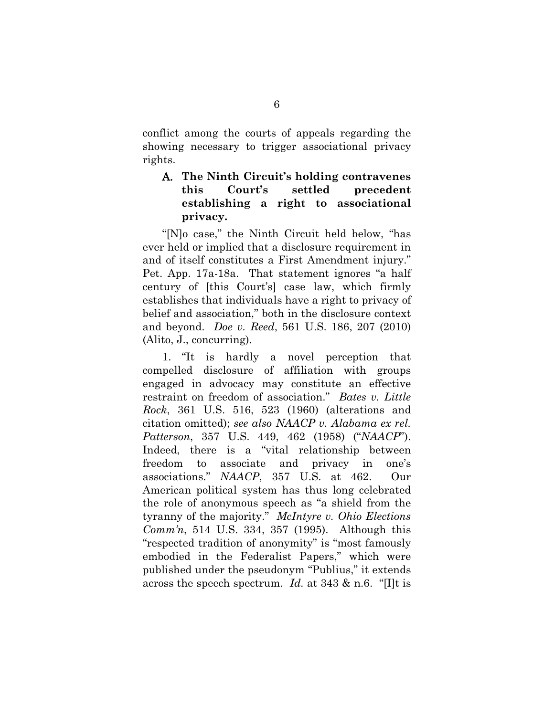conflict among the courts of appeals regarding the showing necessary to trigger associational privacy rights.

### A. **The Ninth Circuit's holding contravenes this Court's settled precedent establishing a right to associational privacy.**

"[N]o case," the Ninth Circuit held below, "has ever held or implied that a disclosure requirement in and of itself constitutes a First Amendment injury." Pet. App. 17a-18a. That statement ignores "a half century of [this Court's] case law, which firmly establishes that individuals have a right to privacy of belief and association," both in the disclosure context and beyond. *Doe v. Reed*, 561 U.S. 186, 207 (2010) (Alito, J., concurring).

1. "It is hardly a novel perception that compelled disclosure of affiliation with groups engaged in advocacy may constitute an effective restraint on freedom of association." *Bates v. Little Rock*, 361 U.S. 516, 523 (1960) (alterations and citation omitted); *see also NAACP v. Alabama ex rel. Patterson*, 357 U.S. 449, 462 (1958) ("*NAACP*"). Indeed, there is a "vital relationship between freedom to associate and privacy in one's associations." *NAACP*, 357 U.S. at 462. Our American political system has thus long celebrated the role of anonymous speech as "a shield from the tyranny of the majority." *McIntyre v. Ohio Elections Comm'n*, 514 U.S. 334, 357 (1995). Although this "respected tradition of anonymity" is "most famously embodied in the Federalist Papers," which were published under the pseudonym "Publius," it extends across the speech spectrum. *Id.* at 343 & n.6. "[I]t is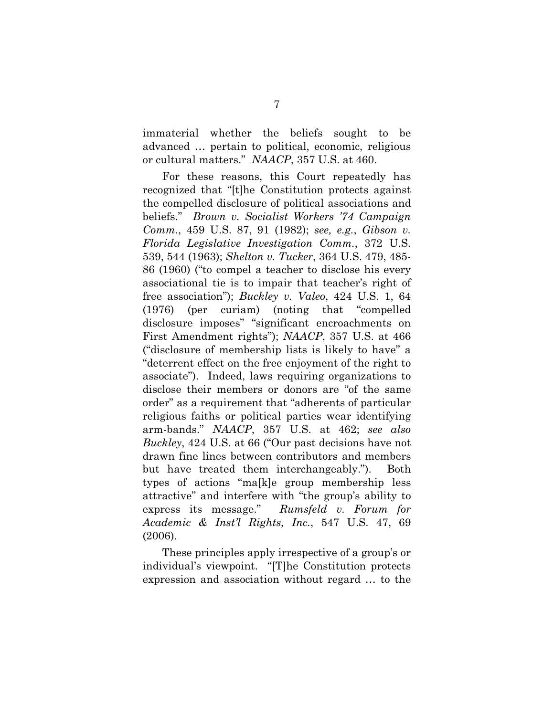immaterial whether the beliefs sought to be advanced … pertain to political, economic, religious or cultural matters." *NAACP*, 357 U.S. at 460.

For these reasons, this Court repeatedly has recognized that "[t]he Constitution protects against the compelled disclosure of political associations and beliefs." *Brown v. Socialist Workers '74 Campaign Comm.*, 459 U.S. 87, 91 (1982); *see, e.g.*, *Gibson v. Florida Legislative Investigation Comm.*, 372 U.S. 539, 544 (1963); *Shelton v. Tucker*, 364 U.S. 479, 485- 86 (1960) ("to compel a teacher to disclose his every associational tie is to impair that teacher's right of free association"); *Buckley v. Valeo*, 424 U.S. 1, 64 (1976) (per curiam) (noting that "compelled disclosure imposes" "significant encroachments on First Amendment rights"); *NAACP*, 357 U.S. at 466 ("disclosure of membership lists is likely to have" a "deterrent effect on the free enjoyment of the right to associate"). Indeed, laws requiring organizations to disclose their members or donors are "of the same order" as a requirement that "adherents of particular religious faiths or political parties wear identifying arm-bands." *NAACP*, 357 U.S. at 462; *see also Buckley*, 424 U.S. at 66 ("Our past decisions have not drawn fine lines between contributors and members but have treated them interchangeably."). Both types of actions "ma[k]e group membership less attractive" and interfere with "the group's ability to express its message." *Rumsfeld v. Forum for Academic & Inst'l Rights, Inc.*, 547 U.S. 47, 69 (2006).

These principles apply irrespective of a group's or individual's viewpoint. "[T]he Constitution protects expression and association without regard … to the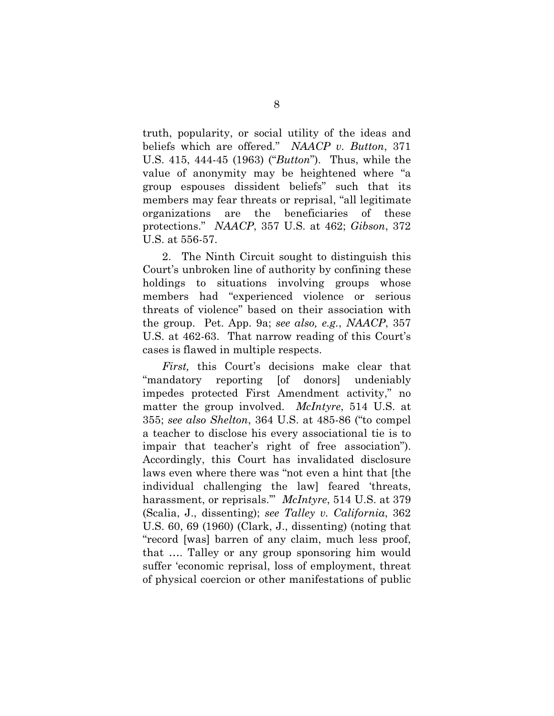truth, popularity, or social utility of the ideas and beliefs which are offered." *NAACP v. Button*, 371 U.S. 415, 444-45 (1963) ("*Button*"). Thus, while the value of anonymity may be heightened where "a group espouses dissident beliefs" such that its members may fear threats or reprisal, "all legitimate organizations are the beneficiaries of these protections." *NAACP*, 357 U.S. at 462; *Gibson*, 372 U.S. at 556-57.

2. The Ninth Circuit sought to distinguish this Court's unbroken line of authority by confining these holdings to situations involving groups whose members had "experienced violence or serious threats of violence" based on their association with the group. Pet. App. 9a; *see also, e.g.*, *NAACP*, 357 U.S. at 462-63. That narrow reading of this Court's cases is flawed in multiple respects.

*First,* this Court's decisions make clear that "mandatory reporting [of donors] undeniably impedes protected First Amendment activity," no matter the group involved. *McIntyre*, 514 U.S. at 355; *see also Shelton*, 364 U.S. at 485-86 ("to compel a teacher to disclose his every associational tie is to impair that teacher's right of free association"). Accordingly, this Court has invalidated disclosure laws even where there was "not even a hint that [the individual challenging the law] feared 'threats, harassment, or reprisals.'" *McIntyre*, 514 U.S. at 379 (Scalia, J., dissenting); *see Talley v. California*, 362 U.S. 60, 69 (1960) (Clark, J., dissenting) (noting that "record [was] barren of any claim, much less proof, that …. Talley or any group sponsoring him would suffer 'economic reprisal, loss of employment, threat of physical coercion or other manifestations of public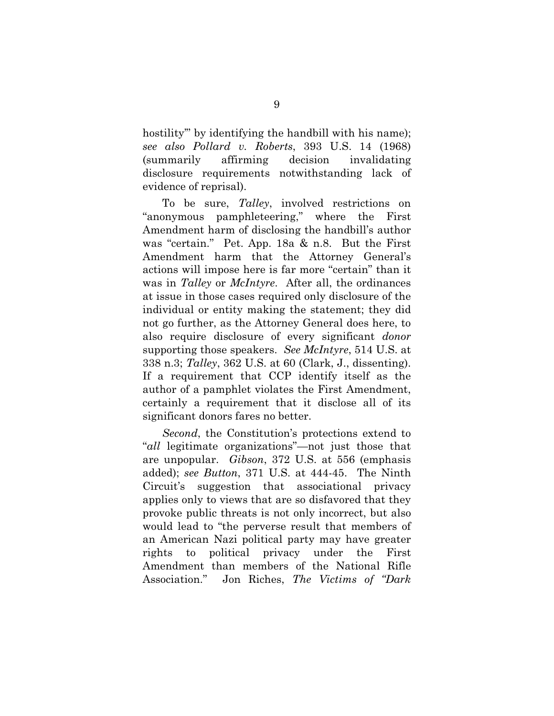hostility" by identifying the handbill with his name); *see also Pollard v. Roberts*, 393 U.S. 14 (1968) (summarily affirming decision invalidating disclosure requirements notwithstanding lack of evidence of reprisal).

To be sure, *Talley*, involved restrictions on "anonymous pamphleteering," where the First Amendment harm of disclosing the handbill's author was "certain." Pet. App. 18a & n.8. But the First Amendment harm that the Attorney General's actions will impose here is far more "certain" than it was in *Talley* or *McIntyre*. After all, the ordinances at issue in those cases required only disclosure of the individual or entity making the statement; they did not go further, as the Attorney General does here, to also require disclosure of every significant *donor* supporting those speakers. *See McIntyre*, 514 U.S. at 338 n.3; *Talley*, 362 U.S. at 60 (Clark, J., dissenting). If a requirement that CCP identify itself as the author of a pamphlet violates the First Amendment, certainly a requirement that it disclose all of its significant donors fares no better.

*Second*, the Constitution's protections extend to "*all* legitimate organizations"—not just those that are unpopular. *Gibson*, 372 U.S. at 556 (emphasis added); *see Button*, 371 U.S. at 444-45. The Ninth Circuit's suggestion that associational privacy applies only to views that are so disfavored that they provoke public threats is not only incorrect, but also would lead to "the perverse result that members of an American Nazi political party may have greater rights to political privacy under the First Amendment than members of the National Rifle Association." Jon Riches, *The Victims of "Dark*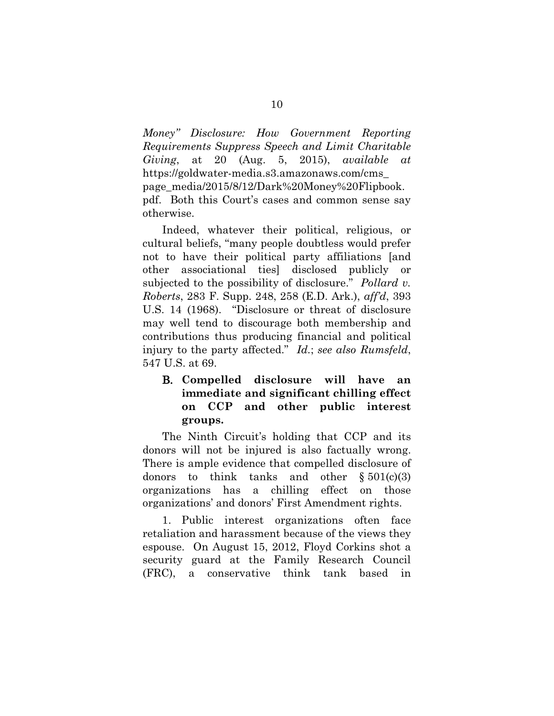*Money" Disclosure: How Government Reporting Requirements Suppress Speech and Limit Charitable Giving*, at 20 (Aug. 5, 2015), *available at*  https://goldwater-media.s3.amazonaws.com/cms\_ page\_media/2015/8/12/Dark%20Money%20Flipbook. pdf. Both this Court's cases and common sense say otherwise.

Indeed, whatever their political, religious, or cultural beliefs, "many people doubtless would prefer not to have their political party affiliations [and other associational ties] disclosed publicly or subjected to the possibility of disclosure." *Pollard v. Roberts*, 283 F. Supp. 248, 258 (E.D. Ark.), *aff'd*, 393 U.S. 14 (1968). "Disclosure or threat of disclosure may well tend to discourage both membership and contributions thus producing financial and political injury to the party affected." *Id.*; *see also Rumsfeld*, 547 U.S. at 69.

### B. **Compelled disclosure will have an immediate and significant chilling effect on CCP and other public interest groups.**

The Ninth Circuit's holding that CCP and its donors will not be injured is also factually wrong. There is ample evidence that compelled disclosure of donors to think tanks and other  $\S 501(c)(3)$ organizations has a chilling effect on those organizations' and donors' First Amendment rights.

1. Public interest organizations often face retaliation and harassment because of the views they espouse. On August 15, 2012, Floyd Corkins shot a security guard at the Family Research Council (FRC), a conservative think tank based in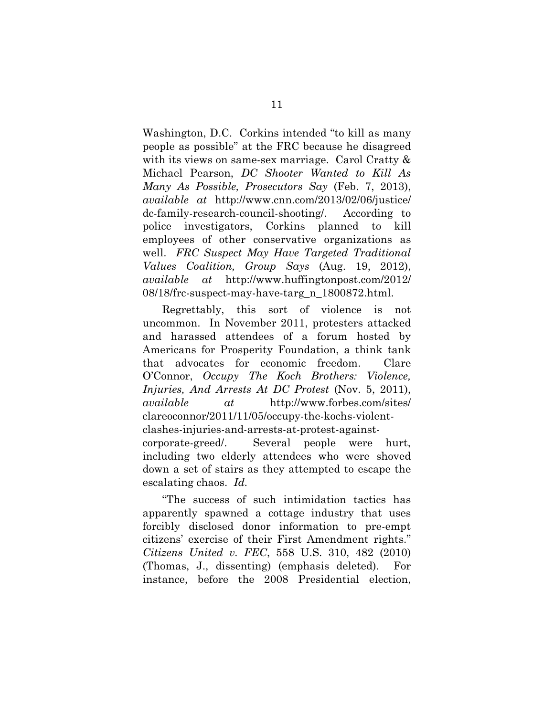Washington, D.C. Corkins intended "to kill as many people as possible" at the FRC because he disagreed with its views on same-sex marriage. Carol Cratty & Michael Pearson, *DC Shooter Wanted to Kill As Many As Possible, Prosecutors Say* (Feb. 7, 2013), *available at* http://www.cnn.com/2013/02/06/justice/ dc-family-research-council-shooting/. According to police investigators, Corkins planned to kill employees of other conservative organizations as well. *FRC Suspect May Have Targeted Traditional Values Coalition, Group Says* (Aug. 19, 2012), *available at* http://www.huffingtonpost.com/2012/ 08/18/frc-suspect-may-have-targ\_n\_1800872.html.

Regrettably, this sort of violence is not uncommon. In November 2011, protesters attacked and harassed attendees of a forum hosted by Americans for Prosperity Foundation, a think tank that advocates for economic freedom. Clare O'Connor, *Occupy The Koch Brothers: Violence, Injuries, And Arrests At DC Protest* (Nov. 5, 2011), *available at* http://www.forbes.com/sites/ clareoconnor/2011/11/05/occupy-the-kochs-violentclashes-injuries-and-arrests-at-protest-againstcorporate-greed/. Several people were hurt, including two elderly attendees who were shoved down a set of stairs as they attempted to escape the escalating chaos. *Id.* 

"The success of such intimidation tactics has apparently spawned a cottage industry that uses forcibly disclosed donor information to pre-empt citizens' exercise of their First Amendment rights." *Citizens United v. FEC*, 558 U.S. 310, 482 (2010) (Thomas, J., dissenting) (emphasis deleted). For instance, before the 2008 Presidential election,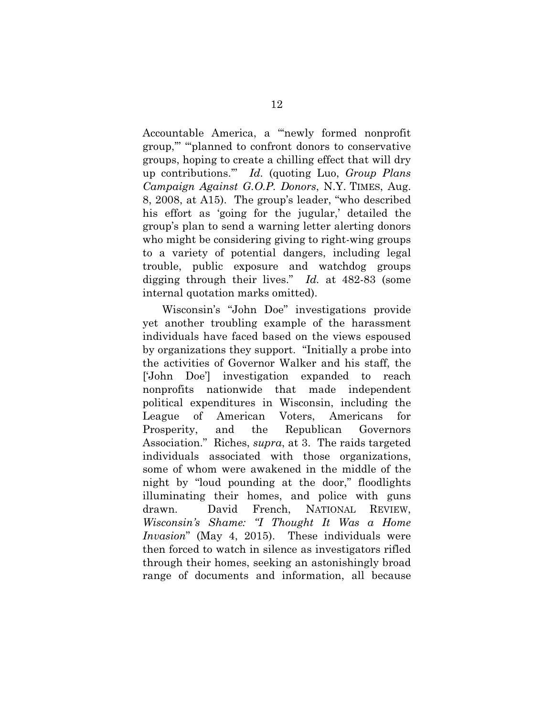Accountable America, a "'newly formed nonprofit group,'" "'planned to confront donors to conservative groups, hoping to create a chilling effect that will dry up contributions.'" *Id.* (quoting Luo, *Group Plans Campaign Against G.O.P. Donors*, N.Y. TIMES, Aug. 8, 2008, at A15). The group's leader, "who described his effort as 'going for the jugular,' detailed the group's plan to send a warning letter alerting donors who might be considering giving to right-wing groups to a variety of potential dangers, including legal trouble, public exposure and watchdog groups digging through their lives." *Id.* at 482-83 (some internal quotation marks omitted).

Wisconsin's "John Doe" investigations provide yet another troubling example of the harassment individuals have faced based on the views espoused by organizations they support. "Initially a probe into the activities of Governor Walker and his staff, the ['John Doe'] investigation expanded to reach nonprofits nationwide that made independent political expenditures in Wisconsin, including the League of American Voters, Americans for Prosperity, and the Republican Governors Association." Riches, *supra*, at 3. The raids targeted individuals associated with those organizations, some of whom were awakened in the middle of the night by "loud pounding at the door," floodlights illuminating their homes, and police with guns drawn. David French, NATIONAL REVIEW, *Wisconsin's Shame: "I Thought It Was a Home Invasion*" (May 4, 2015). These individuals were then forced to watch in silence as investigators rifled through their homes, seeking an astonishingly broad range of documents and information, all because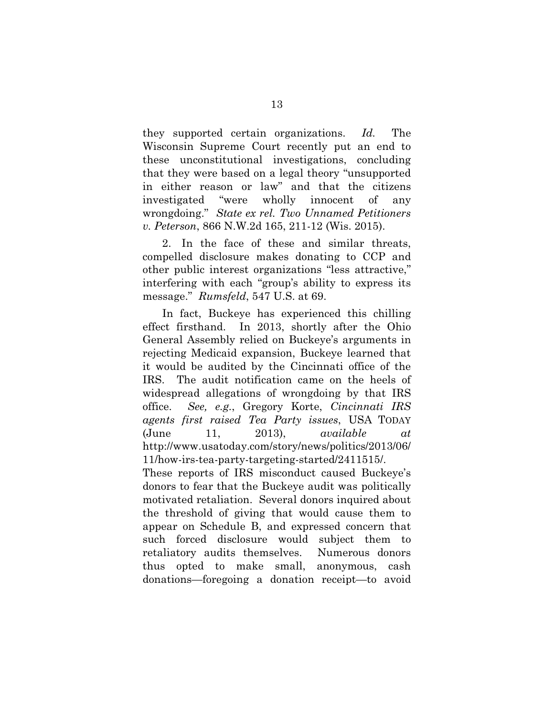they supported certain organizations. *Id.* The Wisconsin Supreme Court recently put an end to these unconstitutional investigations, concluding that they were based on a legal theory "unsupported in either reason or law" and that the citizens investigated "were wholly innocent of any wrongdoing." *State ex rel. Two Unnamed Petitioners v. Peterson*, 866 N.W.2d 165, 211-12 (Wis. 2015).

2. In the face of these and similar threats, compelled disclosure makes donating to CCP and other public interest organizations "less attractive," interfering with each "group's ability to express its message." *Rumsfeld*, 547 U.S. at 69.

In fact, Buckeye has experienced this chilling effect firsthand. In 2013, shortly after the Ohio General Assembly relied on Buckeye's arguments in rejecting Medicaid expansion, Buckeye learned that it would be audited by the Cincinnati office of the IRS. The audit notification came on the heels of widespread allegations of wrongdoing by that IRS office. *See, e.g.*, Gregory Korte, *Cincinnati IRS agents first raised Tea Party issues*, USA TODAY (June 11, 2013), *available at*  http://www.usatoday.com/story/news/politics/2013/06/ 11/how-irs-tea-party-targeting-started/2411515/.

These reports of IRS misconduct caused Buckeye's donors to fear that the Buckeye audit was politically motivated retaliation. Several donors inquired about the threshold of giving that would cause them to appear on Schedule B, and expressed concern that such forced disclosure would subject them to retaliatory audits themselves. Numerous donors thus opted to make small, anonymous, cash donations—foregoing a donation receipt—to avoid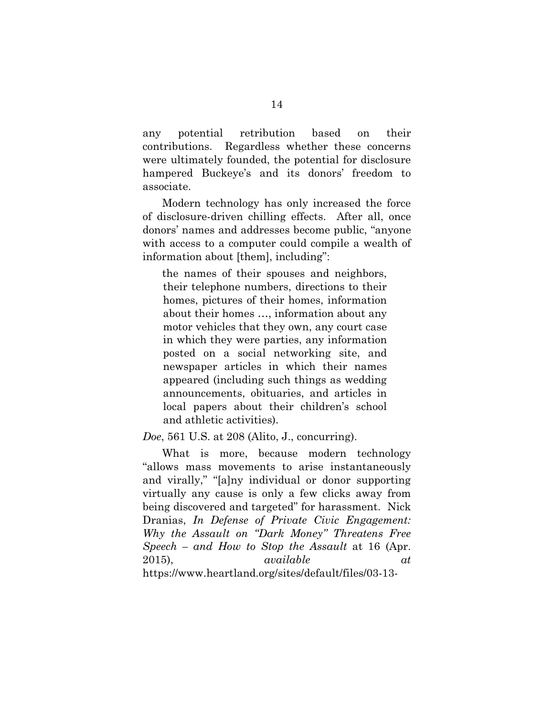any potential retribution based on their contributions. Regardless whether these concerns were ultimately founded, the potential for disclosure hampered Buckeye's and its donors' freedom to associate.

Modern technology has only increased the force of disclosure-driven chilling effects. After all, once donors' names and addresses become public, "anyone with access to a computer could compile a wealth of information about [them], including":

the names of their spouses and neighbors, their telephone numbers, directions to their homes, pictures of their homes, information about their homes …, information about any motor vehicles that they own, any court case in which they were parties, any information posted on a social networking site, and newspaper articles in which their names appeared (including such things as wedding announcements, obituaries, and articles in local papers about their children's school and athletic activities).

*Doe*, 561 U.S. at 208 (Alito, J., concurring).

What is more, because modern technology "allows mass movements to arise instantaneously and virally," "[a]ny individual or donor supporting virtually any cause is only a few clicks away from being discovered and targeted" for harassment. Nick Dranias, *In Defense of Private Civic Engagement: Why the Assault on "Dark Money" Threatens Free Speech – and How to Stop the Assault* at 16 (Apr. 2015), *available at*  https://www.heartland.org/sites/default/files/03-13-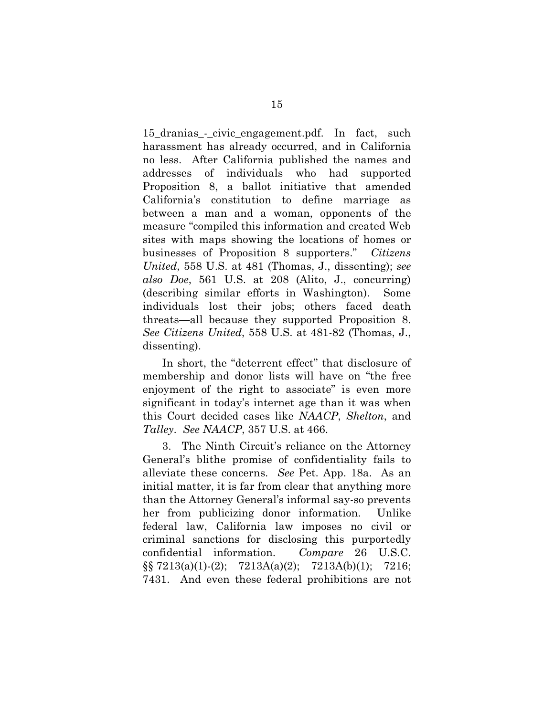15\_dranias\_-\_civic\_engagement.pdf. In fact, such harassment has already occurred, and in California no less. After California published the names and addresses of individuals who had supported Proposition 8, a ballot initiative that amended California's constitution to define marriage as between a man and a woman, opponents of the measure "compiled this information and created Web sites with maps showing the locations of homes or businesses of Proposition 8 supporters." *Citizens United*, 558 U.S. at 481 (Thomas, J., dissenting); *see also Doe*, 561 U.S. at 208 (Alito, J., concurring) (describing similar efforts in Washington). Some individuals lost their jobs; others faced death threats—all because they supported Proposition 8. *See Citizens United*, 558 U.S. at 481-82 (Thomas, J., dissenting).

In short, the "deterrent effect" that disclosure of membership and donor lists will have on "the free enjoyment of the right to associate" is even more significant in today's internet age than it was when this Court decided cases like *NAACP*, *Shelton*, and *Talley*. *See NAACP*, 357 U.S. at 466.

3. The Ninth Circuit's reliance on the Attorney General's blithe promise of confidentiality fails to alleviate these concerns. *See* Pet. App. 18a. As an initial matter, it is far from clear that anything more than the Attorney General's informal say-so prevents her from publicizing donor information. Unlike federal law, California law imposes no civil or criminal sanctions for disclosing this purportedly confidential information. *Compare* 26 U.S.C. §§ 7213(a)(1)-(2); 7213A(a)(2); 7213A(b)(1); 7216; 7431. And even these federal prohibitions are not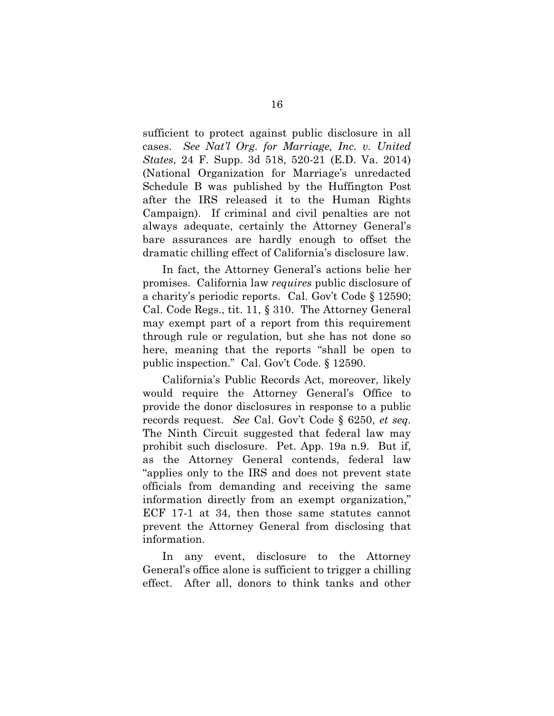sufficient to protect against public disclosure in all cases. *See Nat'l Org. for Marriage, Inc. v. United States*, 24 F. Supp. 3d 518, 520-21 (E.D. Va. 2014) (National Organization for Marriage's unredacted Schedule B was published by the Huffington Post after the IRS released it to the Human Rights Campaign). If criminal and civil penalties are not always adequate, certainly the Attorney General's bare assurances are hardly enough to offset the dramatic chilling effect of California's disclosure law.

In fact, the Attorney General's actions belie her promises. California law *requires* public disclosure of a charity's periodic reports. Cal. Gov't Code § 12590; Cal. Code Regs., tit. 11, § 310. The Attorney General may exempt part of a report from this requirement through rule or regulation, but she has not done so here, meaning that the reports "shall be open to public inspection." Cal. Gov't Code. § 12590.

California's Public Records Act, moreover, likely would require the Attorney General's Office to provide the donor disclosures in response to a public records request. *See* Cal. Gov't Code § 6250, *et seq.* The Ninth Circuit suggested that federal law may prohibit such disclosure. Pet. App. 19a n.9. But if, as the Attorney General contends, federal law "applies only to the IRS and does not prevent state officials from demanding and receiving the same information directly from an exempt organization," ECF 17-1 at 34, then those same statutes cannot prevent the Attorney General from disclosing that information.

In any event, disclosure to the Attorney General's office alone is sufficient to trigger a chilling effect. After all, donors to think tanks and other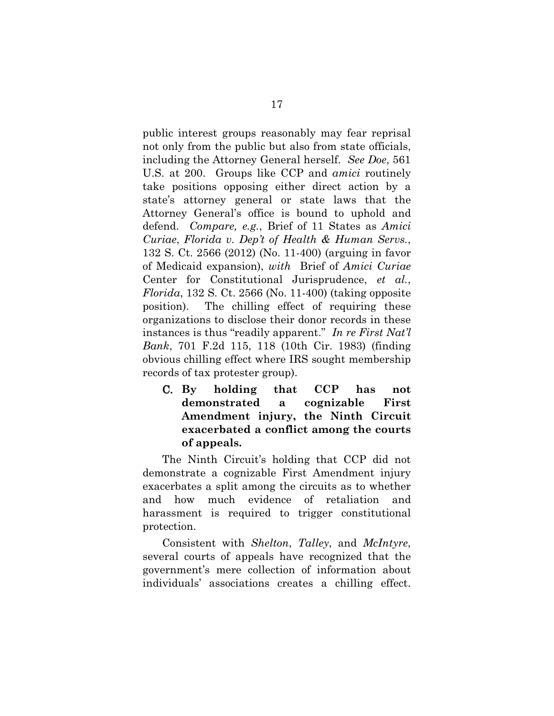public interest groups reasonably may fear reprisal not only from the public but also from state officials, including the Attorney General herself. *See Doe*, 561 U.S. at 200. Groups like CCP and *amici* routinely take positions opposing either direct action by a state's attorney general or state laws that the Attorney General's office is bound to uphold and defend. *Compare, e.g.*, Brief of 11 States as *Amici Curiae*, *Florida v. Dep't of Health & Human Servs.*, 132 S. Ct. 2566 (2012) (No. 11-400) (arguing in favor of Medicaid expansion), *with* Brief of *Amici Curiae*  Center for Constitutional Jurisprudence, *et al.*, *Florida*, 132 S. Ct. 2566 (No. 11-400) (taking opposite position). The chilling effect of requiring these organizations to disclose their donor records in these instances is thus "readily apparent." *In re First Nat'l Bank*, 701 F.2d 115, 118 (10th Cir. 1983) (finding obvious chilling effect where IRS sought membership records of tax protester group).

C. **By holding that CCP has not demonstrated a cognizable First Amendment injury, the Ninth Circuit exacerbated a conflict among the courts of appeals.**

The Ninth Circuit's holding that CCP did not demonstrate a cognizable First Amendment injury exacerbates a split among the circuits as to whether and how much evidence of retaliation and harassment is required to trigger constitutional protection.

Consistent with *Shelton*, *Talley*, and *McIntyre*, several courts of appeals have recognized that the government's mere collection of information about individuals' associations creates a chilling effect.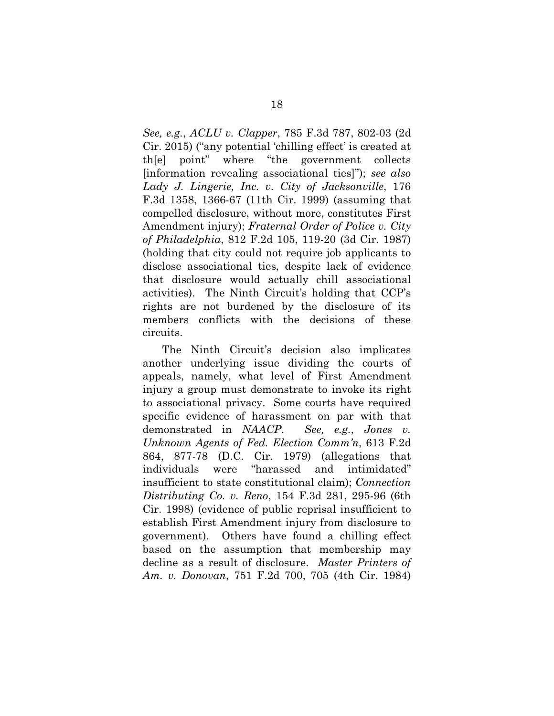*See, e.g.*, *ACLU v. Clapper*, 785 F.3d 787, 802-03 (2d Cir. 2015) ("any potential 'chilling effect' is created at th[e] point" where "the government collects [information revealing associational ties]"); *see also Lady J. Lingerie, Inc. v. City of Jacksonville*, 176 F.3d 1358, 1366-67 (11th Cir. 1999) (assuming that compelled disclosure, without more, constitutes First Amendment injury); *Fraternal Order of Police v. City of Philadelphia*, 812 F.2d 105, 119-20 (3d Cir. 1987) (holding that city could not require job applicants to disclose associational ties, despite lack of evidence that disclosure would actually chill associational activities). The Ninth Circuit's holding that CCP's rights are not burdened by the disclosure of its members conflicts with the decisions of these circuits.

The Ninth Circuit's decision also implicates another underlying issue dividing the courts of appeals, namely, what level of First Amendment injury a group must demonstrate to invoke its right to associational privacy. Some courts have required specific evidence of harassment on par with that demonstrated in *NAACP*. *See, e.g.*, *Jones v. Unknown Agents of Fed. Election Comm'n*, 613 F.2d 864, 877-78 (D.C. Cir. 1979) (allegations that individuals were "harassed and intimidated" insufficient to state constitutional claim); *Connection Distributing Co. v. Reno*, 154 F.3d 281, 295-96 (6th Cir. 1998) (evidence of public reprisal insufficient to establish First Amendment injury from disclosure to government). Others have found a chilling effect based on the assumption that membership may decline as a result of disclosure. *Master Printers of Am. v. Donovan*, 751 F.2d 700, 705 (4th Cir. 1984)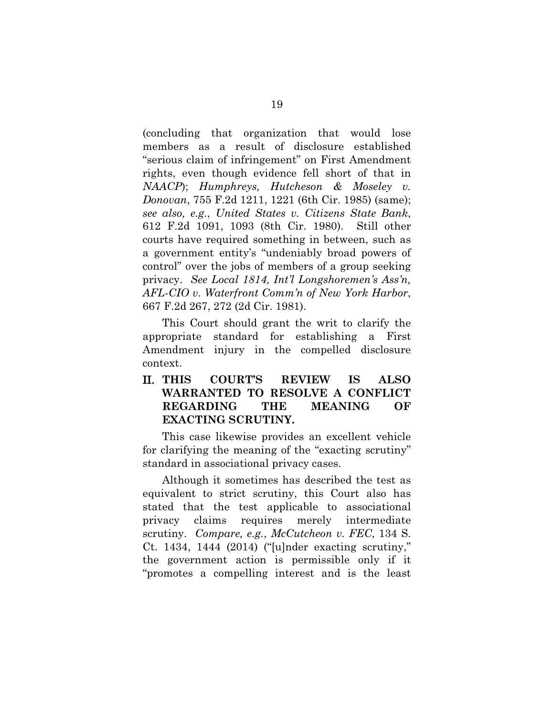(concluding that organization that would lose members as a result of disclosure established "serious claim of infringement" on First Amendment rights, even though evidence fell short of that in *NAACP*); *Humphreys, Hutcheson & Moseley v. Donovan*, 755 F.2d 1211, 1221 (6th Cir. 1985) (same); *see also, e.g.*, *United States v. Citizens State Bank*, 612 F.2d 1091, 1093 (8th Cir. 1980). Still other courts have required something in between, such as a government entity's "undeniably broad powers of control" over the jobs of members of a group seeking privacy. *See Local 1814, Int'l Longshoremen's Ass'n, AFL-CIO v. Waterfront Comm'n of New York Harbor*, 667 F.2d 267, 272 (2d Cir. 1981).

This Court should grant the writ to clarify the appropriate standard for establishing a First Amendment injury in the compelled disclosure context.

II. **THIS COURT'S REVIEW IS ALSO WARRANTED TO RESOLVE A CONFLICT REGARDING THE MEANING OF EXACTING SCRUTINY.**

This case likewise provides an excellent vehicle for clarifying the meaning of the "exacting scrutiny" standard in associational privacy cases.

Although it sometimes has described the test as equivalent to strict scrutiny, this Court also has stated that the test applicable to associational privacy claims requires merely intermediate scrutiny. *Compare, e.g.*, *McCutcheon v. FEC*, 134 S. Ct. 1434, 1444 (2014) ("[u]nder exacting scrutiny," the government action is permissible only if it "promotes a compelling interest and is the least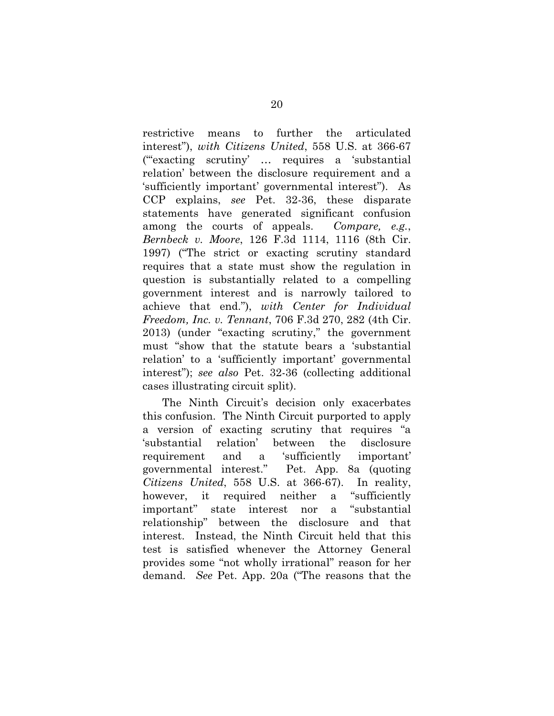restrictive means to further the articulated interest"), *with Citizens United*, 558 U.S. at 366-67 ("'exacting scrutiny' … requires a 'substantial relation' between the disclosure requirement and a 'sufficiently important' governmental interest"). As CCP explains, *see* Pet. 32-36, these disparate statements have generated significant confusion among the courts of appeals. *Compare, e.g.*, *Bernbeck v. Moore*, 126 F.3d 1114, 1116 (8th Cir. 1997) ("The strict or exacting scrutiny standard requires that a state must show the regulation in question is substantially related to a compelling government interest and is narrowly tailored to achieve that end."), *with Center for Individual Freedom, Inc. v. Tennant*, 706 F.3d 270, 282 (4th Cir. 2013) (under "exacting scrutiny," the government must "show that the statute bears a 'substantial relation' to a 'sufficiently important' governmental interest"); *see also* Pet. 32-36 (collecting additional cases illustrating circuit split).

The Ninth Circuit's decision only exacerbates this confusion. The Ninth Circuit purported to apply a version of exacting scrutiny that requires "a 'substantial relation' between the disclosure requirement and a 'sufficiently important' governmental interest." Pet. App. 8a (quoting *Citizens United*, 558 U.S. at 366-67). In reality, however, it required neither a "sufficiently important" state interest nor a "substantial relationship" between the disclosure and that interest. Instead, the Ninth Circuit held that this test is satisfied whenever the Attorney General provides some "not wholly irrational" reason for her demand. *See* Pet. App. 20a ("The reasons that the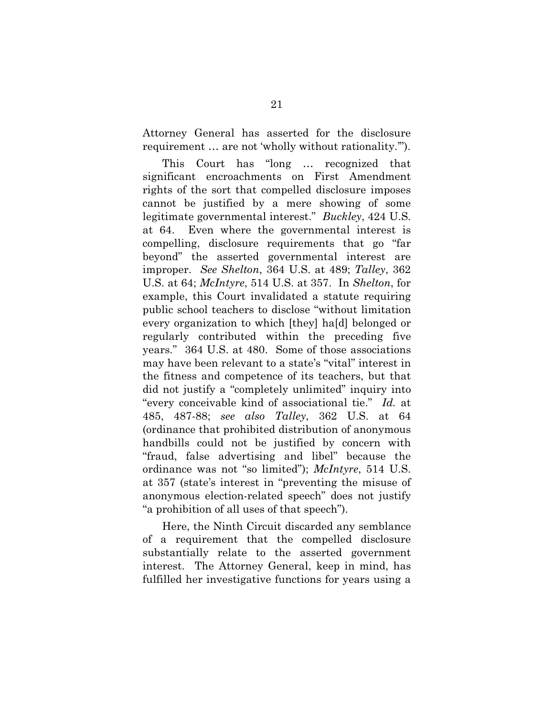Attorney General has asserted for the disclosure requirement … are not 'wholly without rationality.'").

This Court has "long … recognized that significant encroachments on First Amendment rights of the sort that compelled disclosure imposes cannot be justified by a mere showing of some legitimate governmental interest." *Buckley*, 424 U.S. at 64. Even where the governmental interest is compelling, disclosure requirements that go "far beyond" the asserted governmental interest are improper. *See Shelton*, 364 U.S. at 489; *Talley*, 362 U.S. at 64; *McIntyre*, 514 U.S. at 357. In *Shelton*, for example, this Court invalidated a statute requiring public school teachers to disclose "without limitation every organization to which [they] ha[d] belonged or regularly contributed within the preceding five years." 364 U.S. at 480. Some of those associations may have been relevant to a state's "vital" interest in the fitness and competence of its teachers, but that did not justify a "completely unlimited" inquiry into "every conceivable kind of associational tie." *Id.* at 485, 487-88; *see also Talley*, 362 U.S. at 64 (ordinance that prohibited distribution of anonymous handbills could not be justified by concern with "fraud, false advertising and libel" because the ordinance was not "so limited"); *McIntyre*, 514 U.S. at 357 (state's interest in "preventing the misuse of anonymous election-related speech" does not justify "a prohibition of all uses of that speech").

Here, the Ninth Circuit discarded any semblance of a requirement that the compelled disclosure substantially relate to the asserted government interest. The Attorney General, keep in mind, has fulfilled her investigative functions for years using a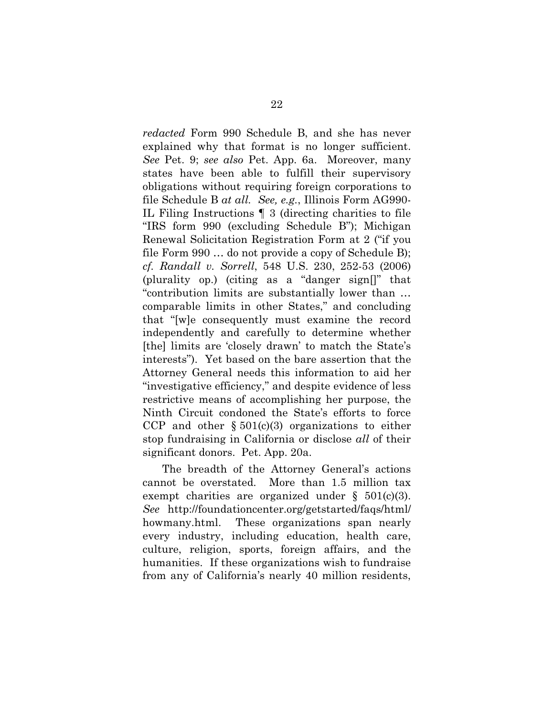*redacted* Form 990 Schedule B, and she has never explained why that format is no longer sufficient. *See* Pet. 9; *see also* Pet. App. 6a. Moreover, many states have been able to fulfill their supervisory obligations without requiring foreign corporations to file Schedule B *at all. See, e.g.*, Illinois Form AG990- IL Filing Instructions ¶ 3 (directing charities to file "IRS form 990 (excluding Schedule B"); Michigan Renewal Solicitation Registration Form at 2 ("if you file Form 990 … do not provide a copy of Schedule B); *cf. Randall v. Sorrell*, 548 U.S. 230, 252-53 (2006) (plurality op.) (citing as a "danger sign[]" that "contribution limits are substantially lower than … comparable limits in other States," and concluding that "[w]e consequently must examine the record independently and carefully to determine whether [the] limits are 'closely drawn' to match the State's interests"). Yet based on the bare assertion that the Attorney General needs this information to aid her "investigative efficiency," and despite evidence of less restrictive means of accomplishing her purpose, the Ninth Circuit condoned the State's efforts to force CCP and other  $\S 501(c)(3)$  organizations to either stop fundraising in California or disclose *all* of their significant donors. Pet. App. 20a.

The breadth of the Attorney General's actions cannot be overstated. More than 1.5 million tax exempt charities are organized under  $\S$  501(c)(3). *See* http://foundationcenter.org/getstarted/faqs/html/ howmany.html. These organizations span nearly every industry, including education, health care, culture, religion, sports, foreign affairs, and the humanities. If these organizations wish to fundraise from any of California's nearly 40 million residents,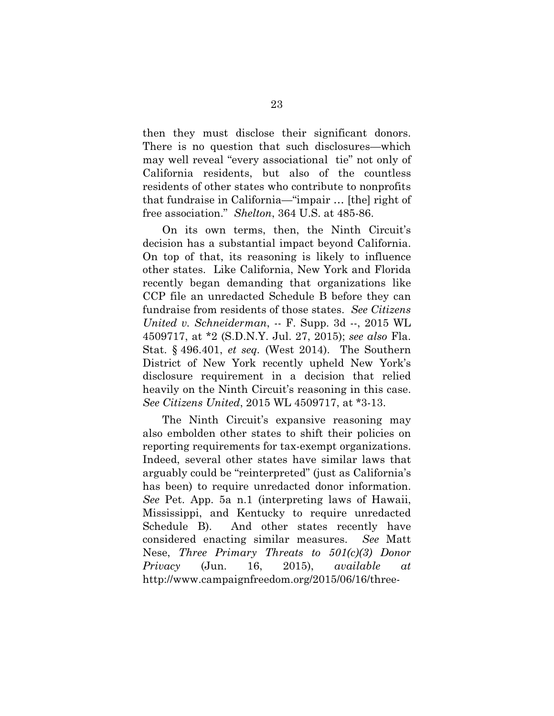then they must disclose their significant donors. There is no question that such disclosures—which may well reveal "every associational tie" not only of California residents, but also of the countless residents of other states who contribute to nonprofits that fundraise in California—"impair … [the] right of free association." *Shelton*, 364 U.S. at 485-86.

On its own terms, then, the Ninth Circuit's decision has a substantial impact beyond California. On top of that, its reasoning is likely to influence other states. Like California, New York and Florida recently began demanding that organizations like CCP file an unredacted Schedule B before they can fundraise from residents of those states. *See Citizens United v. Schneiderman*, -- F. Supp. 3d --, 2015 WL 4509717, at \*2 (S.D.N.Y. Jul. 27, 2015); *see also* Fla. Stat. § 496.401, *et seq.* (West 2014). The Southern District of New York recently upheld New York's disclosure requirement in a decision that relied heavily on the Ninth Circuit's reasoning in this case. *See Citizens United*, 2015 WL 4509717, at \*3-13.

The Ninth Circuit's expansive reasoning may also embolden other states to shift their policies on reporting requirements for tax-exempt organizations. Indeed, several other states have similar laws that arguably could be "reinterpreted" (just as California's has been) to require unredacted donor information. *See* Pet. App. 5a n.1 (interpreting laws of Hawaii, Mississippi, and Kentucky to require unredacted Schedule B). And other states recently have considered enacting similar measures. *See* Matt Nese, *Three Primary Threats to 501(c)(3) Donor Privacy* (Jun. 16, 2015), *available at*  http://www.campaignfreedom.org/2015/06/16/three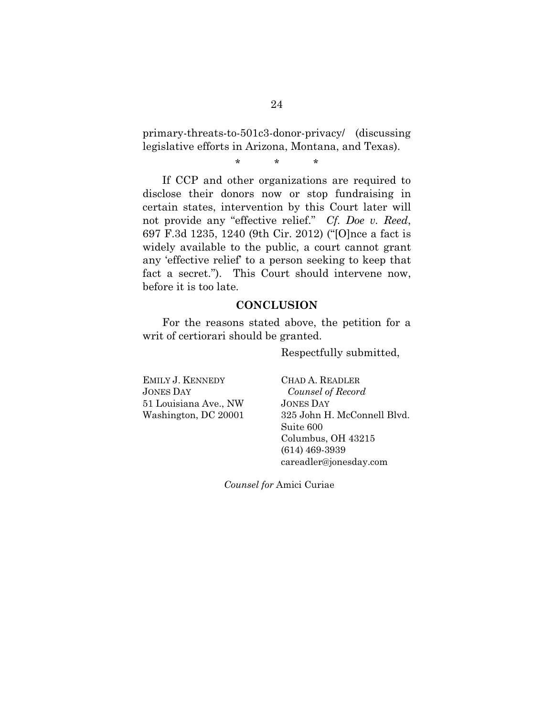primary-threats-to-501c3-donor-privacy/ (discussing legislative efforts in Arizona, Montana, and Texas).

\* \* \*

If CCP and other organizations are required to disclose their donors now or stop fundraising in certain states, intervention by this Court later will not provide any "effective relief." *Cf. Doe v. Reed*, 697 F.3d 1235, 1240 (9th Cir. 2012) ("[O]nce a fact is widely available to the public, a court cannot grant any 'effective relief' to a person seeking to keep that fact a secret."). This Court should intervene now, before it is too late.

### **CONCLUSION**

For the reasons stated above, the petition for a writ of certiorari should be granted.

Respectfully submitted,

EMILY J. KENNEDY JONES DAY 51 Louisiana Ave., NW Washington, DC 20001 CHAD A. READLER  *Counsel of Record* JONES DAY 325 John H. McConnell Blvd. Suite 600 Columbus, OH 43215 (614) 469-3939 careadler@jonesday.com

*Counsel for* Amici Curiae